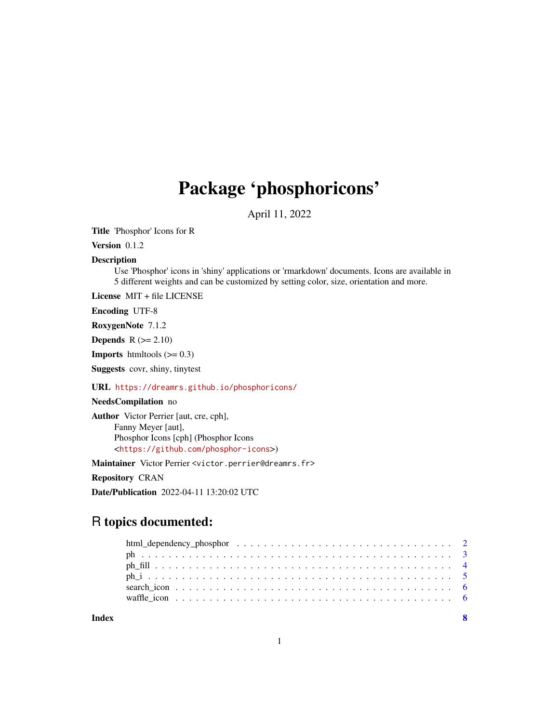## Package 'phosphoricons'

April 11, 2022

<span id="page-0-0"></span>Title 'Phosphor' Icons for R

Version 0.1.2

#### Description

Use 'Phosphor' icons in 'shiny' applications or 'rmarkdown' documents. Icons are available in 5 different weights and can be customized by setting color, size, orientation and more.

License MIT + file LICENSE

Encoding UTF-8

RoxygenNote 7.1.2

**Depends**  $R$  ( $>= 2.10$ )

**Imports** htmltools  $(>= 0.3)$ 

Suggests covr, shiny, tinytest

#### URL <https://dreamrs.github.io/phosphoricons/>

## NeedsCompilation no

Author Victor Perrier [aut, cre, cph], Fanny Meyer [aut], Phosphor Icons [cph] (Phosphor Icons <<https://github.com/phosphor-icons>>)

Maintainer Victor Perrier <victor.perrier@dreamrs.fr>

Repository CRAN

Date/Publication 2022-04-11 13:20:02 UTC

## R topics documented:

| Index |  |
|-------|--|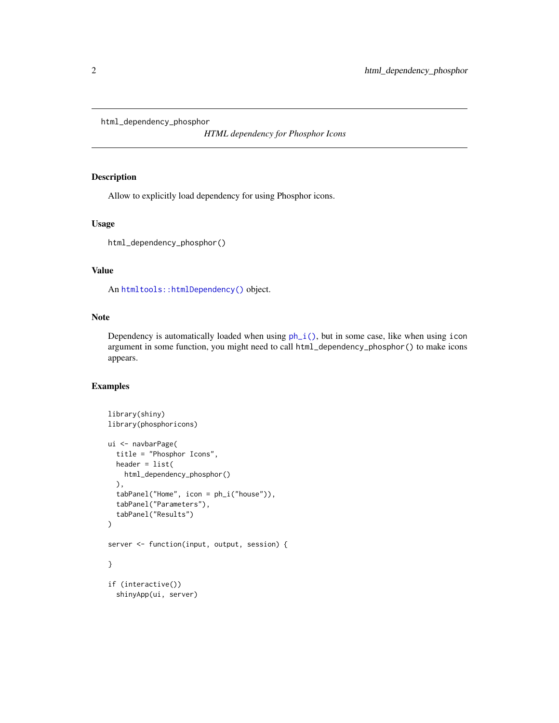<span id="page-1-0"></span>html\_dependency\_phosphor

*HTML dependency for Phosphor Icons*

#### Description

Allow to explicitly load dependency for using Phosphor icons.

#### Usage

```
html_dependency_phosphor()
```
## Value

An [htmltools::htmlDependency\(\)](#page-0-0) object.

#### Note

Dependency is automatically loaded when using  $ph_i()$ , but in some case, like when using icon argument in some function, you might need to call html\_dependency\_phosphor() to make icons appears.

#### Examples

```
library(shiny)
library(phosphoricons)
ui <- navbarPage(
  title = "Phosphor Icons",
 header = list(
   html_dependency_phosphor()
  ),
  tabPanel("Home", icon = ph_i("house")),
  tabPanel("Parameters"),
  tabPanel("Results")
\lambdaserver <- function(input, output, session) {
}
if (interactive())
  shinyApp(ui, server)
```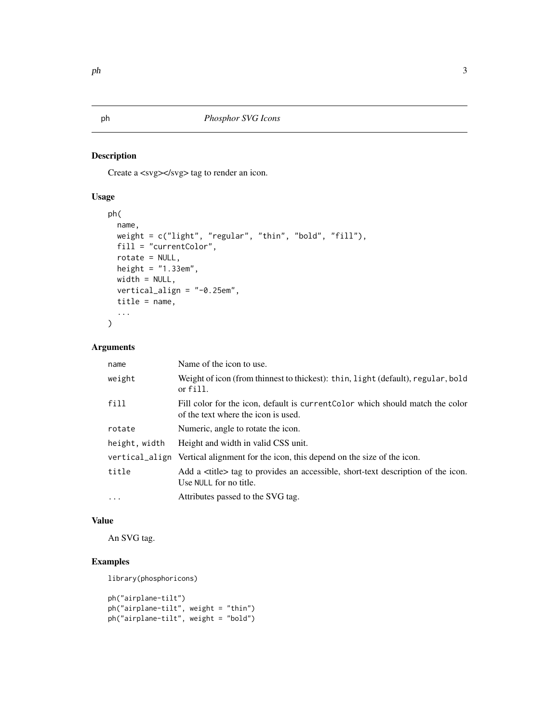#### Description

Create a <svg></svg> tag to render an icon.

## Usage

```
ph(
  name,
  weight = c("light", "regular", "thin", "bold", "fill"),
  fill = "currentColor",
  rotate = NULL,
  height = "1.33em",
  width = NULL,
  vertical_align = "-0.25em",
  title = name,
  ...
\mathcal{L}
```
## Arguments

| name          | Name of the icon to use.                                                                                              |
|---------------|-----------------------------------------------------------------------------------------------------------------------|
| weight        | Weight of icon (from thinnest to thickest): thin, light (default), regular, bold<br>or fill.                          |
| fill          | Fill color for the icon, default is current Color which should match the color<br>of the text where the icon is used. |
| rotate        | Numeric, angle to rotate the icon.                                                                                    |
| height, width | Height and width in valid CSS unit.                                                                                   |
|               | vertical_align Vertical alignment for the icon, this depend on the size of the icon.                                  |
| title         | Add a <title> tag to provides an accessible, short-text description of the icon.<br/>Use NULL for no title.</title>   |
| $\cdots$      | Attributes passed to the SVG tag.                                                                                     |

#### Value

An SVG tag.

## Examples

library(phosphoricons)

```
ph("airplane-tilt")
ph("airplane-tilt", weight = "thin")
ph("airplane-tilt", weight = "bold")
```
<span id="page-2-1"></span><span id="page-2-0"></span>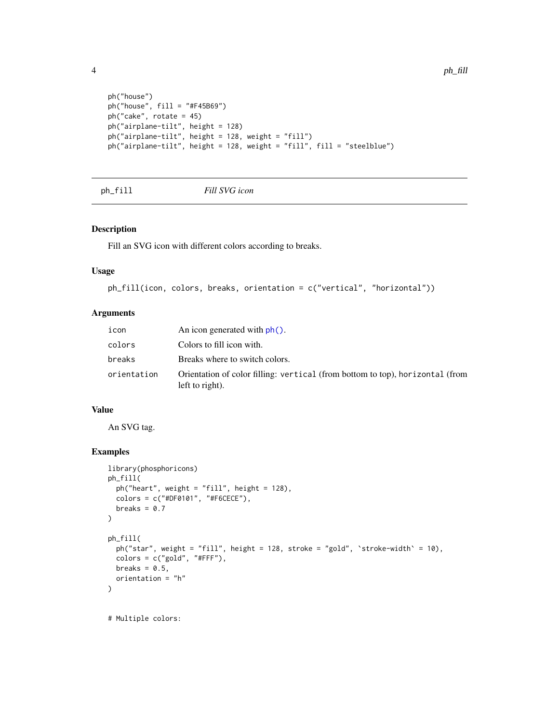```
ph("house")
ph("house", fill = "#F45B69")
ph("cake", rotate = 45)
ph("airplane-tilt", height = 128)
ph("airplane-tilt", height = 128, weight = "fill")
ph("airplane-tilt", height = 128, weight = "fill", fill = "steelblue")
```

```
ph_fill Fill SVG icon
```
#### Description

Fill an SVG icon with different colors according to breaks.

#### Usage

```
ph_fill(icon, colors, breaks, orientation = c("vertical", "horizontal"))
```
#### Arguments

| icon        | An icon generated with $ph()$ .                                                                  |
|-------------|--------------------------------------------------------------------------------------------------|
| colors      | Colors to fill icon with.                                                                        |
| breaks      | Breaks where to switch colors.                                                                   |
| orientation | Orientation of color filling: vertical (from bottom to top), horizontal (from<br>left to right). |

#### Value

An SVG tag.

#### Examples

```
library(phosphoricons)
ph_fill(
  ph("heart", weight = "fill", height = 128),
  colors = c("#DF0101", "#F6CECE"),
  breaks = 0.7\lambdaph_fill(
  ph("star", weight = "fill", height = 128, stroke = "gold", `stroke-width` = 10),
  colors = c("gold", "#FFF"),breaks = 0.5,
  orientation = "h"
\mathcal{L}# Multiple colors:
```
<span id="page-3-0"></span>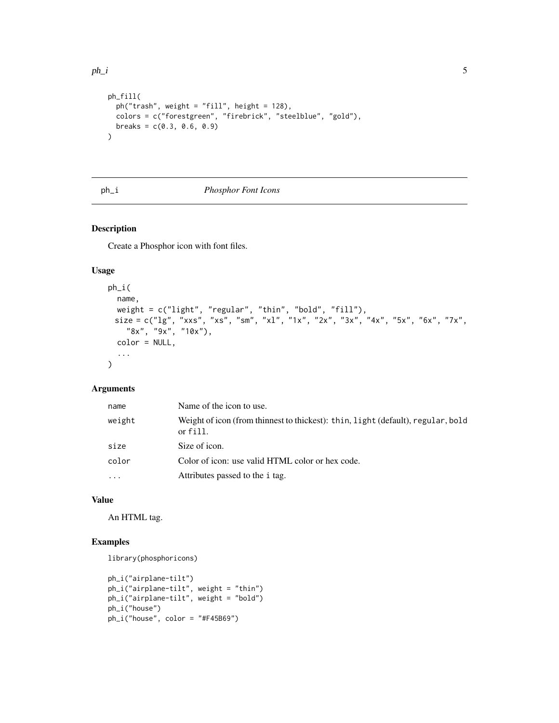```
ph_fill(
 ph("trash", weight = "fill", height = 128),
 colors = c("forestgreen", "firebrick", "steelblue", "gold"),
 breaks = c(0.3, 0.6, 0.9))
```
#### <span id="page-4-1"></span>ph\_i *Phosphor Font Icons*

#### Description

Create a Phosphor icon with font files.

#### Usage

```
ph_i(
 name,
 weight = c("light", "regular", "thin", "bold", "fill"),
 size = c("lg", "xxs", "xs", "sm", "xl", "1x", "2x", "3x", "4x", "5x", "6x", "7x",
    "8x", "9x", "10x"),
 color = NULL,
  ...
\lambda
```
#### Arguments

| name     | Name of the icon to use.                                                                     |
|----------|----------------------------------------------------------------------------------------------|
| weight   | Weight of icon (from thinnest to thickest): thin, light (default), regular, bold<br>or fill. |
| size     | Size of icon.                                                                                |
| color    | Color of icon: use valid HTML color or hex code.                                             |
| $\cdots$ | Attributes passed to the <i>i</i> tag.                                                       |

#### Value

An HTML tag.

#### Examples

library(phosphoricons)

```
ph_i("airplane-tilt")
ph_i("airplane-tilt", weight = "thin")
ph_i("airplane-tilt", weight = "bold")
ph_i("house")
ph_i("house", color = "#F45B69")
```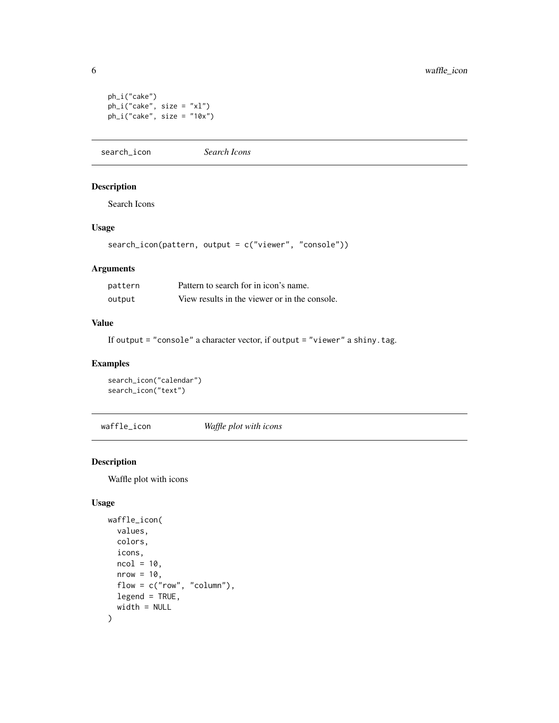```
ph_i("cake")
ph_i("cake", size = "xl")
ph_i("cake", size = "10x")
```
search\_icon *Search Icons*

#### Description

Search Icons

#### Usage

```
search_icon(pattern, output = c("viewer", "console"))
```
#### Arguments

| pattern | Pattern to search for in icon's name.         |
|---------|-----------------------------------------------|
| output  | View results in the viewer or in the console. |

#### Value

If output = "console" a character vector, if output = "viewer" a shiny.tag.

#### Examples

```
search_icon("calendar")
search_icon("text")
```
waffle\_icon *Waffle plot with icons*

#### Description

Waffle plot with icons

#### Usage

```
waffle_icon(
  values,
  colors,
  icons,
  ncol = 10,
  nrow = 10,
  flow = c("row", "column"),
  legend = TRUE,
  width = NULL
\mathcal{L}
```
<span id="page-5-0"></span>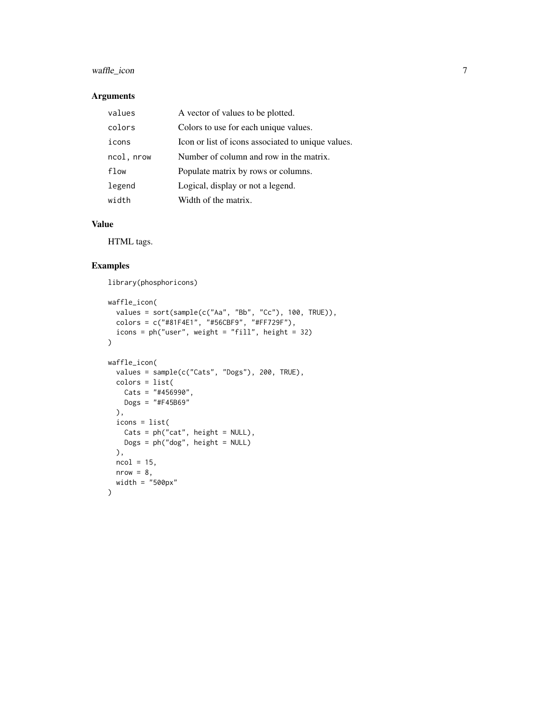## waffle\_icon 7

#### Arguments

| values     | A vector of values to be plotted.                  |
|------------|----------------------------------------------------|
| colors     | Colors to use for each unique values.              |
| icons      | Icon or list of icons associated to unique values. |
| ncol, nrow | Number of column and row in the matrix.            |
| flow       | Populate matrix by rows or columns.                |
| legend     | Logical, display or not a legend.                  |
| width      | Width of the matrix.                               |

#### Value

HTML tags.

## Examples

library(phosphoricons)

```
waffle_icon(
  values = sort(sample(c("Aa", "Bb", "Cc"), 100, TRUE)),
  colors = c("#81F4E1", "#56CBF9", "#FF729F"),
  icons = ph("user", weight = "fill", height = 32)
\mathcal{L}waffle_icon(
  values = sample(c("Cats", "Dogs"), 200, TRUE),
  colors = list(
   Cats = "#456990",
   Dogs = "#F45B69"),
  icons = list(
   Cats = ph("cat", height = NULL),
   Dogs = ph("dog", height = NULL)),
  ncol = 15,
  nrow = 8,width = "500px"
)
```